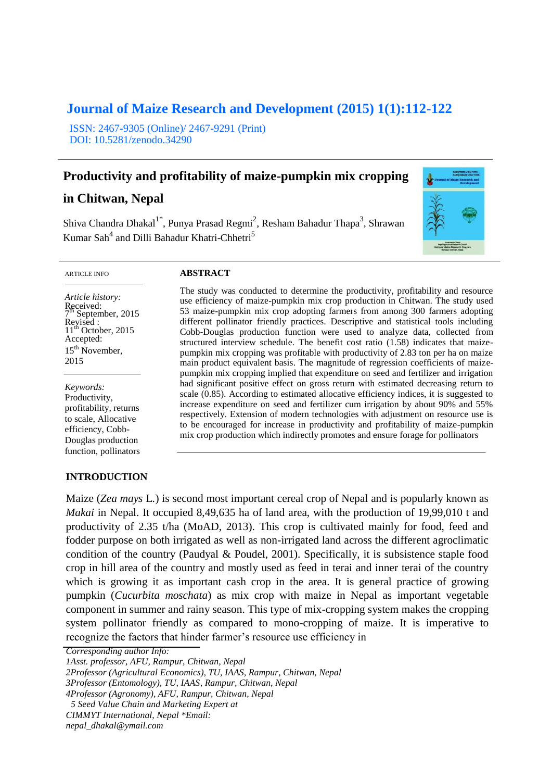# **Journal of Maize Research and Development (2015) 1(1):112-122**

ISSN: 2467-9305 (Online)/ 2467-9291 (Print) DOI: 10.5281/zenodo.34290

# **Productivity and profitability of maize-pumpkin mix cropping**

# **in Chitwan, Nepal**

Shiva Chandra Dhakal $1^*$ , Punya Prasad Regmi<sup>2</sup>, Resham Bahadur Thapa<sup>3</sup>, Shrawan Kumar Sah<sup>4</sup> and Dilli Bahadur Khatri-Chhetri<sup>5</sup>



ARTICLE INFO

*Article history:* Received: 7 September,  $2015$ Revised :<br>11<sup>th</sup> October, 2015 Accepted: 15<sup>th</sup> November, 2015

*Keywords:* Productivity, profitability, returns to scale, Allocative efficiency, Cobb-Douglas production function, pollinators

## **INTRODUCTION**

#### **ABSTRACT**

The study was conducted to determine the productivity, profitability and resource use efficiency of maize-pumpkin mix crop production in Chitwan. The study used 53 maize-pumpkin mix crop adopting farmers from among 300 farmers adopting different pollinator friendly practices. Descriptive and statistical tools including Cobb-Douglas production function were used to analyze data, collected from structured interview schedule. The benefit cost ratio (1.58) indicates that maizepumpkin mix cropping was profitable with productivity of 2.83 ton per ha on maize main product equivalent basis. The magnitude of regression coefficients of maizepumpkin mix cropping implied that expenditure on seed and fertilizer and irrigation had significant positive effect on gross return with estimated decreasing return to scale (0.85). According to estimated allocative efficiency indices, it is suggested to increase expenditure on seed and fertilizer cum irrigation by about 90% and 55% respectively. Extension of modern technologies with adjustment on resource use is to be encouraged for increase in productivity and profitability of maize-pumpkin mix crop production which indirectly promotes and ensure forage for pollinators

Maize (*Zea mays* L*.*) is second most important cereal crop of Nepal and is popularly known as *Makai* in Nepal. It occupied 8,49,635 ha of land area, with the production of 19,99,010 t and productivity of 2.35 t/ha (MoAD, 2013). This crop is cultivated mainly for food, feed and fodder purpose on both irrigated as well as non-irrigated land across the different agroclimatic condition of the country (Paudyal & Poudel, 2001). Specifically, it is subsistence staple food crop in hill area of the country and mostly used as feed in terai and inner terai of the country which is growing it as important cash crop in the area. It is general practice of growing pumpkin (*Cucurbita moschata*) as mix crop with maize in Nepal as important vegetable component in summer and rainy season. This type of mix-cropping system makes the cropping system pollinator friendly as compared to mono-cropping of maize. It is imperative to recognize the factors that hinder farmer's resource use efficiency in

*Corresponding author Info:*

*1Asst. professor, AFU, Rampur, Chitwan, Nepal*

*3Professor (Entomology), TU, IAAS, Rampur, Chitwan, Nepal*

*4Professor (Agronomy), AFU, Rampur, Chitwan, Nepal*

*nepal\_dhakal@ymail.com*

*<sup>2</sup>Professor (Agricultural Economics), TU, IAAS, Rampur, Chitwan, Nepal*

*<sup>5</sup> Seed Value Chain and Marketing Expert at* 

*CIMMYT International, Nepal \*Email:*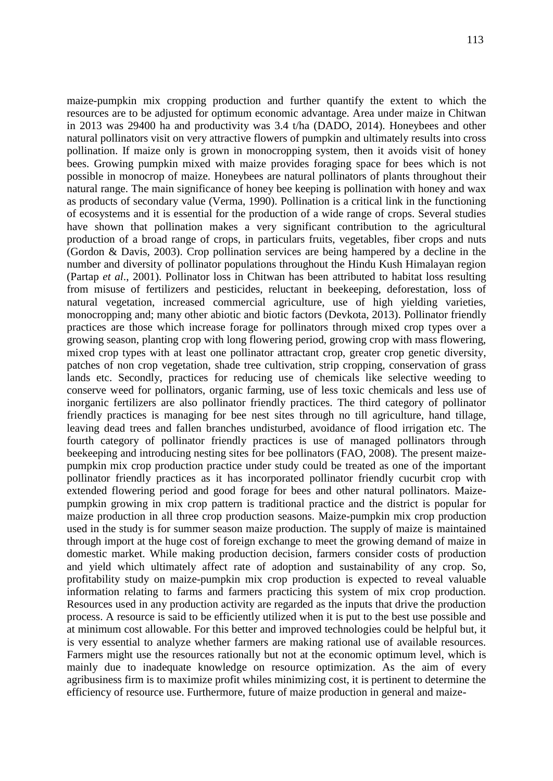maize-pumpkin mix cropping production and further quantify the extent to which the resources are to be adjusted for optimum economic advantage. Area under maize in Chitwan in 2013 was 29400 ha and productivity was 3.4 t/ha (DADO, 2014). Honeybees and other natural pollinators visit on very attractive flowers of pumpkin and ultimately results into cross pollination. If maize only is grown in monocropping system, then it avoids visit of honey bees. Growing pumpkin mixed with maize provides foraging space for bees which is not possible in monocrop of maize. Honeybees are natural pollinators of plants throughout their natural range. The main significance of honey bee keeping is pollination with honey and wax as products of secondary value (Verma, 1990). Pollination is a critical link in the functioning of ecosystems and it is essential for the production of a wide range of crops. Several studies have shown that pollination makes a very significant contribution to the agricultural production of a broad range of crops, in particulars fruits, vegetables, fiber crops and nuts (Gordon & Davis, 2003). Crop pollination services are being hampered by a decline in the number and diversity of pollinator populations throughout the Hindu Kush Himalayan region (Partap *et al*., 2001). Pollinator loss in Chitwan has been attributed to habitat loss resulting from misuse of fertilizers and pesticides, reluctant in beekeeping, deforestation, loss of natural vegetation, increased commercial agriculture, use of high yielding varieties, monocropping and; many other abiotic and biotic factors (Devkota, 2013). Pollinator friendly practices are those which increase forage for pollinators through mixed crop types over a growing season, planting crop with long flowering period, growing crop with mass flowering, mixed crop types with at least one pollinator attractant crop, greater crop genetic diversity, patches of non crop vegetation, shade tree cultivation, strip cropping, conservation of grass lands etc. Secondly, practices for reducing use of chemicals like selective weeding to conserve weed for pollinators, organic farming, use of less toxic chemicals and less use of inorganic fertilizers are also pollinator friendly practices. The third category of pollinator friendly practices is managing for bee nest sites through no till agriculture, hand tillage, leaving dead trees and fallen branches undisturbed, avoidance of flood irrigation etc. The fourth category of pollinator friendly practices is use of managed pollinators through beekeeping and introducing nesting sites for bee pollinators (FAO, 2008). The present maizepumpkin mix crop production practice under study could be treated as one of the important pollinator friendly practices as it has incorporated pollinator friendly cucurbit crop with extended flowering period and good forage for bees and other natural pollinators. Maizepumpkin growing in mix crop pattern is traditional practice and the district is popular for maize production in all three crop production seasons. Maize-pumpkin mix crop production used in the study is for summer season maize production. The supply of maize is maintained through import at the huge cost of foreign exchange to meet the growing demand of maize in domestic market. While making production decision, farmers consider costs of production and yield which ultimately affect rate of adoption and sustainability of any crop. So, profitability study on maize-pumpkin mix crop production is expected to reveal valuable information relating to farms and farmers practicing this system of mix crop production. Resources used in any production activity are regarded as the inputs that drive the production process. A resource is said to be efficiently utilized when it is put to the best use possible and at minimum cost allowable. For this better and improved technologies could be helpful but, it is very essential to analyze whether farmers are making rational use of available resources. Farmers might use the resources rationally but not at the economic optimum level, which is mainly due to inadequate knowledge on resource optimization. As the aim of every agribusiness firm is to maximize profit whiles minimizing cost, it is pertinent to determine the efficiency of resource use. Furthermore, future of maize production in general and maize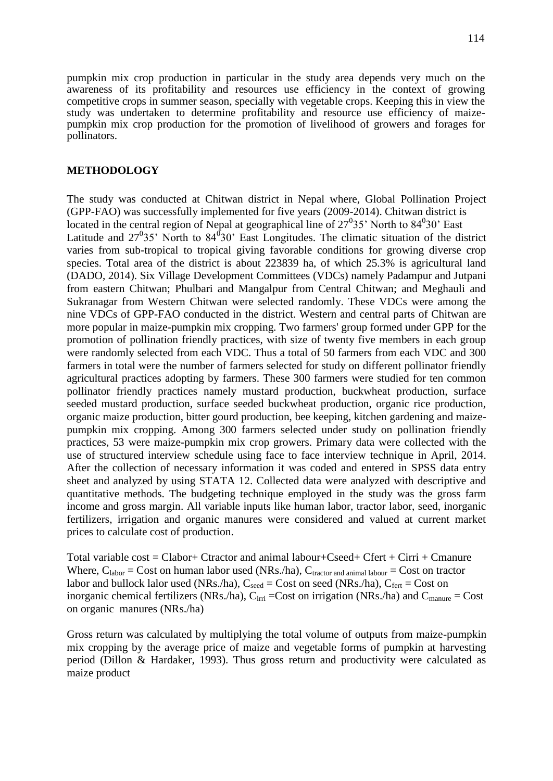pumpkin mix crop production in particular in the study area depends very much on the awareness of its profitability and resources use efficiency in the context of growing competitive crops in summer season, specially with vegetable crops. Keeping this in view the study was undertaken to determine profitability and resource use efficiency of maizepumpkin mix crop production for the promotion of livelihood of growers and forages for pollinators.

#### **METHODOLOGY**

The study was conducted at Chitwan district in Nepal where, Global Pollination Project (GPP-FAO) was successfully implemented for five years (2009-2014). Chitwan district is located in the central region of Nepal at geographical line of  $27^035'$  North to  $84^030'$  East Latitude and  $27^035$ ' North to  $84^030$ ' East Longitudes. The climatic situation of the district varies from sub-tropical to tropical giving favorable conditions for growing diverse crop species. Total area of the district is about 223839 ha, of which 25.3% is agricultural land (DADO, 2014). Six Village Development Committees (VDCs) namely Padampur and Jutpani from eastern Chitwan; Phulbari and Mangalpur from Central Chitwan; and Meghauli and Sukranagar from Western Chitwan were selected randomly. These VDCs were among the nine VDCs of GPP-FAO conducted in the district. Western and central parts of Chitwan are more popular in maize-pumpkin mix cropping. Two farmers' group formed under GPP for the promotion of pollination friendly practices, with size of twenty five members in each group were randomly selected from each VDC. Thus a total of 50 farmers from each VDC and 300 farmers in total were the number of farmers selected for study on different pollinator friendly agricultural practices adopting by farmers. These 300 farmers were studied for ten common pollinator friendly practices namely mustard production, buckwheat production, surface seeded mustard production, surface seeded buckwheat production, organic rice production, organic maize production, bitter gourd production, bee keeping, kitchen gardening and maizepumpkin mix cropping. Among 300 farmers selected under study on pollination friendly practices, 53 were maize-pumpkin mix crop growers. Primary data were collected with the use of structured interview schedule using face to face interview technique in April, 2014. After the collection of necessary information it was coded and entered in SPSS data entry sheet and analyzed by using STATA 12. Collected data were analyzed with descriptive and quantitative methods. The budgeting technique employed in the study was the gross farm income and gross margin. All variable inputs like human labor, tractor labor, seed, inorganic fertilizers, irrigation and organic manures were considered and valued at current market prices to calculate cost of production.

Total variable  $cost = Clabor + Ctractor$  and animal labour+ $Cseed + Ctert + Cirri + Cmanure$ Where,  $C_{\text{labor}} = \text{Cost}$  on human labor used (NRs./ha),  $C_{\text{tractor and animal labour}} = \text{Cost}$  on tractor labor and bullock lalor used (NRs./ha),  $C_{seed} = Cost$  on seed (NRs./ha),  $C_{fert} = Cost$  on inorganic chemical fertilizers (NRs./ha),  $C_{irri}$  =Cost on irrigation (NRs./ha) and  $C_{manure}$  = Cost on organic manures (NRs./ha)

Gross return was calculated by multiplying the total volume of outputs from maize-pumpkin mix cropping by the average price of maize and vegetable forms of pumpkin at harvesting period (Dillon & Hardaker, 1993). Thus gross return and productivity were calculated as maize product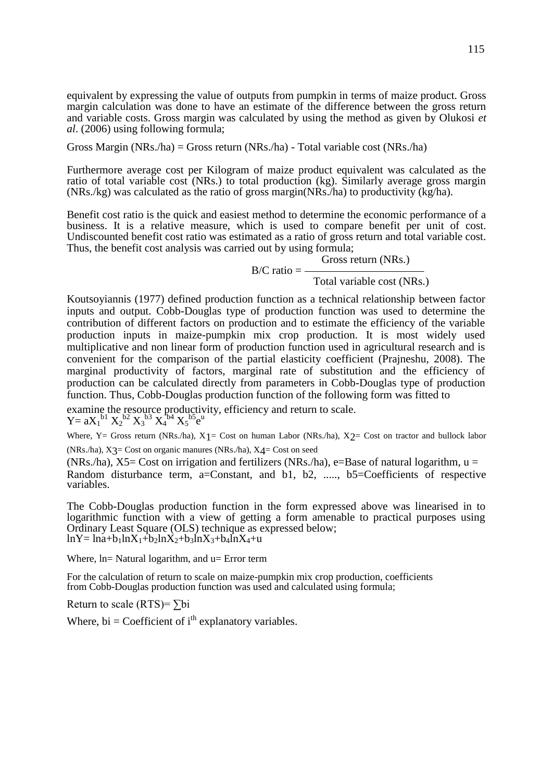equivalent by expressing the value of outputs from pumpkin in terms of maize product. Gross margin calculation was done to have an estimate of the difference between the gross return and variable costs. Gross margin was calculated by using the method as given by Olukosi *et al*. (2006) using following formula;

Gross Margin (NRs./ha) = Gross return (NRs./ha) - Total variable cost (NRs./ha)

Furthermore average cost per Kilogram of maize product equivalent was calculated as the ratio of total variable cost (NRs.) to total production (kg). Similarly average gross margin (NRs./kg) was calculated as the ratio of gross margin(NRs./ha) to productivity (kg/ha).

Benefit cost ratio is the quick and easiest method to determine the economic performance of a business. It is a relative measure, which is used to compare benefit per unit of cost. Undiscounted benefit cost ratio was estimated as a ratio of gross return and total variable cost. Thus, the benefit cost analysis was carried out by using formula;

> Gross return (NRs.)  $B/C$  ratio =  $\_\$

> > $(1)$  /= (.)

Total variable cost (NRs.)

Koutsoyiannis (1977) defined production function as a technical relationship between factor inputs and output. Cobb-Douglas type of production function was used to determine the contribution of different factors on production and to estimate the efficiency of the variable production inputs in maize-pumpkin mix crop production. It is most widely used multiplicative and non linear form of production function used in agricultural research and is convenient for the comparison of the partial elasticity coefficient (Prajneshu, 2008). The marginal productivity of factors, marginal rate of substitution and the efficiency of production can be calculated directly from parameters in Cobb-Douglas type of production function. Thus, Cobb-Douglas production function of the following form was fitted to

examine the resource productivity, efficiency and return to scale.

 $Y = aX_1^{b1} X_2^{b2} X_3^{b3} X_4^{b4} X_5^{b5} e^{u}$ 

Where, Y= Gross return (NRs./ha),  $X_1$ = Cost on human Labor (NRs./ha),  $X_2$ = Cost on tractor and bullock labor  $(NRs.ha)$ ,  $X3 = Cost$  on organic manures  $(NRs.ha)$ ,  $X4 = Cost$  on seed

(NRs./ha),  $X5=$  Cost on irrigation and fertilizers (NRs./ha), e=Base of natural logarithm,  $u =$ Random disturbance term, a=Constant, and b1, b2, ....., b5=Coefficients of respective variables.

The Cobb-Douglas production function in the form expressed above was linearised in to logarithmic function with a view of getting a form amenable to practical purposes using Ordinary Least Square (OLS) technique as expressed below;  $lnY = lna+b_1lnX_1+b_2lnX_2+b_3lnX_3+b_4lnX_4+u$ 

Where,  $ln=$  Natural logarithm, and  $u=$  Error term

For the calculation of return to scale on maize-pumpkin mix crop production, coefficients from Cobb-Douglas production function was used and calculated using formula;

Return to scale (RTS)= $\sum$ bi

Where,  $bi = Coefficient of i<sup>th</sup> explanatory variables.$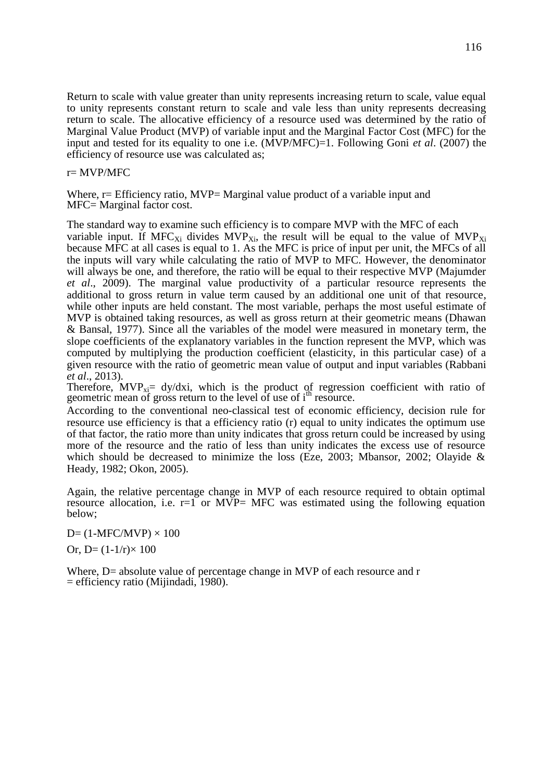Return to scale with value greater than unity represents increasing return to scale, value equal to unity represents constant return to scale and vale less than unity represents decreasing return to scale. The allocative efficiency of a resource used was determined by the ratio of Marginal Value Product (MVP) of variable input and the Marginal Factor Cost (MFC) for the input and tested for its equality to one i.e. (MVP/MFC)=1. Following Goni *et al*. (2007) the efficiency of resource use was calculated as;

r= MVP/MFC

Where,  $r=$  Efficiency ratio, MVP= Marginal value product of a variable input and MFC= Marginal factor cost.

The standard way to examine such efficiency is to compare MVP with the MFC of each variable input. If  $MFC_{Xi}$  divides  $MVP_{Xi}$ , the result will be equal to the value of  $MVP_{Xi}$ because MFC at all cases is equal to 1. As the MFC is price of input per unit, the MFCs of all the inputs will vary while calculating the ratio of MVP to MFC. However, the denominator will always be one, and therefore, the ratio will be equal to their respective MVP (Majumder *et al*., 2009). The marginal value productivity of a particular resource represents the additional to gross return in value term caused by an additional one unit of that resource, while other inputs are held constant. The most variable, perhaps the most useful estimate of MVP is obtained taking resources, as well as gross return at their geometric means (Dhawan & Bansal, 1977). Since all the variables of the model were measured in monetary term, the slope coefficients of the explanatory variables in the function represent the MVP, which was computed by multiplying the production coefficient (elasticity, in this particular case) of a given resource with the ratio of geometric mean value of output and input variables (Rabbani *et al*., 2013).

Therefore,  $MVP_{xi} = dy/dxi$ , which is the product of regression coefficient with ratio of geometric mean of gross return to the level of use of i<sup>th</sup> resource.

According to the conventional neo-classical test of economic efficiency, decision rule for resource use efficiency is that a efficiency ratio (r) equal to unity indicates the optimum use of that factor, the ratio more than unity indicates that gross return could be increased by using more of the resource and the ratio of less than unity indicates the excess use of resource which should be decreased to minimize the loss (Eze, 2003; Mbansor, 2002; Olayide & Heady, 1982; Okon, 2005).

Again, the relative percentage change in MVP of each resource required to obtain optimal resource allocation, i.e.  $r=1$  or MVP= MFC was estimated using the following equation below;

 $D=$  (1-MFC/MVP)  $\times$  100 Or, D=  $(1-1/r) \times 100$ 

Where, D= absolute value of percentage change in MVP of each resource and r = efficiency ratio (Mijindadi, 1980).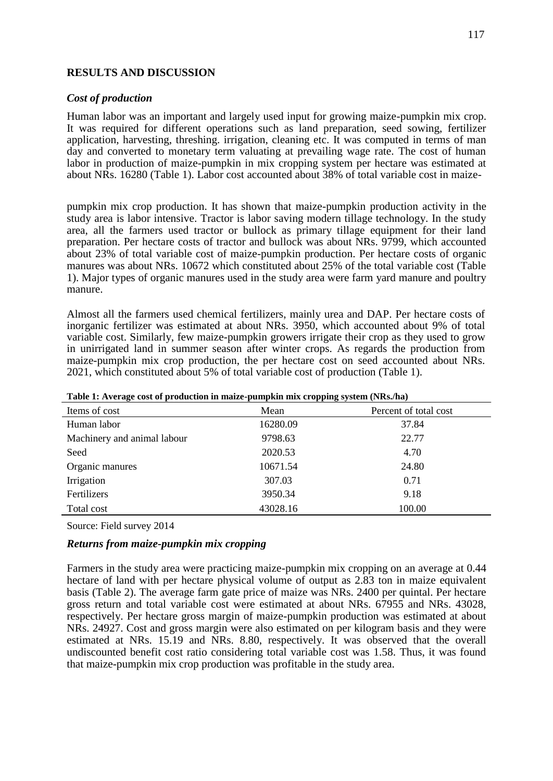#### **RESULTS AND DISCUSSION**

#### *Cost of production*

Human labor was an important and largely used input for growing maize-pumpkin mix crop. It was required for different operations such as land preparation, seed sowing, fertilizer application, harvesting, threshing. irrigation, cleaning etc. It was computed in terms of man day and converted to monetary term valuating at prevailing wage rate. The cost of human labor in production of maize-pumpkin in mix cropping system per hectare was estimated at about NRs. 16280 (Table 1). Labor cost accounted about 38% of total variable cost in maize-

pumpkin mix crop production. It has shown that maize-pumpkin production activity in the study area is labor intensive. Tractor is labor saving modern tillage technology. In the study area, all the farmers used tractor or bullock as primary tillage equipment for their land preparation. Per hectare costs of tractor and bullock was about NRs. 9799, which accounted about 23% of total variable cost of maize-pumpkin production. Per hectare costs of organic manures was about NRs. 10672 which constituted about 25% of the total variable cost (Table 1). Major types of organic manures used in the study area were farm yard manure and poultry manure.

Almost all the farmers used chemical fertilizers, mainly urea and DAP. Per hectare costs of inorganic fertilizer was estimated at about NRs. 3950, which accounted about 9% of total variable cost. Similarly, few maize-pumpkin growers irrigate their crop as they used to grow in unirrigated land in summer season after winter crops. As regards the production from maize-pumpkin mix crop production, the per hectare cost on seed accounted about NRs. 2021, which constituted about 5% of total variable cost of production (Table 1).

|                             |          | <del>. .</del>        |
|-----------------------------|----------|-----------------------|
| Items of cost               | Mean     | Percent of total cost |
| Human labor                 | 16280.09 | 37.84                 |
| Machinery and animal labour | 9798.63  | 22.77                 |
| Seed                        | 2020.53  | 4.70                  |
| Organic manures             | 10671.54 | 24.80                 |
| Irrigation                  | 307.03   | 0.71                  |
| Fertilizers                 | 3950.34  | 9.18                  |
| Total cost                  | 43028.16 | 100.00                |

**Table 1: Average cost of production in maize-pumpkin mix cropping system (NRs./ha)**

Source: Field survey 2014

## *Returns from maize-pumpkin mix cropping*

Farmers in the study area were practicing maize-pumpkin mix cropping on an average at 0.44 hectare of land with per hectare physical volume of output as 2.83 ton in maize equivalent basis (Table 2). The average farm gate price of maize was NRs. 2400 per quintal. Per hectare gross return and total variable cost were estimated at about NRs. 67955 and NRs. 43028, respectively. Per hectare gross margin of maize-pumpkin production was estimated at about NRs. 24927. Cost and gross margin were also estimated on per kilogram basis and they were estimated at NRs. 15.19 and NRs. 8.80, respectively. It was observed that the overall undiscounted benefit cost ratio considering total variable cost was 1.58. Thus, it was found that maize-pumpkin mix crop production was profitable in the study area.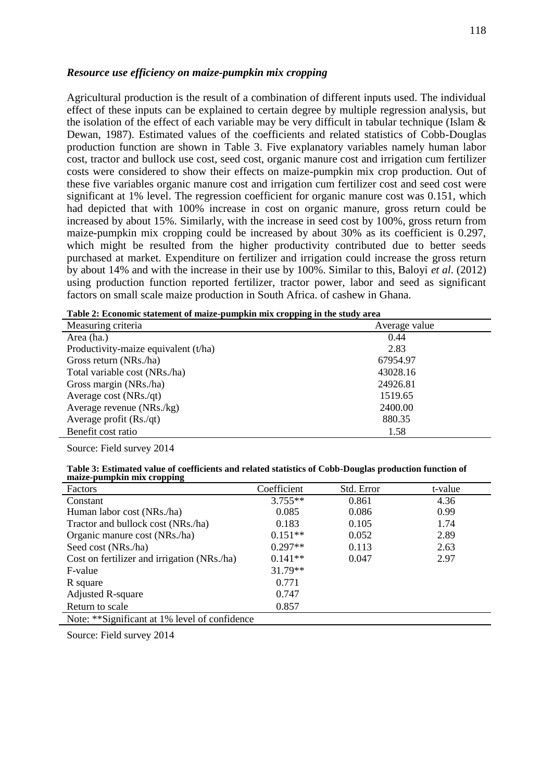#### *Resource use efficiency on maize-pumpkin mix cropping*

Agricultural production is the result of a combination of different inputs used. The individual effect of these inputs can be explained to certain degree by multiple regression analysis, but the isolation of the effect of each variable may be very difficult in tabular technique (Islam & Dewan, 1987). Estimated values of the coefficients and related statistics of Cobb-Douglas production function are shown in Table 3. Five explanatory variables namely human labor cost, tractor and bullock use cost, seed cost, organic manure cost and irrigation cum fertilizer costs were considered to show their effects on maize-pumpkin mix crop production. Out of these five variables organic manure cost and irrigation cum fertilizer cost and seed cost were significant at 1% level. The regression coefficient for organic manure cost was 0.151, which had depicted that with 100% increase in cost on organic manure, gross return could be increased by about 15%. Similarly, with the increase in seed cost by 100%, gross return from maize-pumpkin mix cropping could be increased by about 30% as its coefficient is 0.297, which might be resulted from the higher productivity contributed due to better seeds purchased at market. Expenditure on fertilizer and irrigation could increase the gross return by about 14% and with the increase in their use by 100%. Similar to this, Baloyi *et al*. (2012) using production function reported fertilizer, tractor power, labor and seed as significant factors on small scale maize production in South Africa. of cashew in Ghana.

| 11 O<br>Measuring criteria           | Average value |
|--------------------------------------|---------------|
| Area (ha.)                           | 0.44          |
| Productivity-maize equivalent (t/ha) | 2.83          |
| Gross return (NRs./ha)               | 67954.97      |
| Total variable cost (NRs./ha)        | 43028.16      |
| Gross margin (NRs./ha)               | 24926.81      |
| Average cost (NRs./qt)               | 1519.65       |
| Average revenue (NRs./kg)            | 2400.00       |
| Average profit (Rs./qt)              | 880.35        |
| Benefit cost ratio                   | 1.58          |

| Table 2: Economic statement of maize-pumpkin mix cropping in the study area |  |  |
|-----------------------------------------------------------------------------|--|--|
|                                                                             |  |  |

Source: Field survey 2014

**Table 3: Estimated value of coefficients and related statistics of Cobb-Douglas production function of maize-pumpkin mix cropping**

| Factors                                       | Coefficient | Std. Error | t-value |
|-----------------------------------------------|-------------|------------|---------|
| Constant                                      | $3.755**$   | 0.861      | 4.36    |
| Human labor cost (NRs./ha)                    | 0.085       | 0.086      | 0.99    |
| Tractor and bullock cost (NRs./ha)            | 0.183       | 0.105      | 1.74    |
| Organic manure cost (NRs./ha)                 | $0.151**$   | 0.052      | 2.89    |
| Seed cost (NRs./ha)                           | $0.297**$   | 0.113      | 2.63    |
| Cost on fertilizer and irrigation (NRs./ha)   | $0.141**$   | 0.047      | 2.97    |
| F-value                                       | $31.79**$   |            |         |
| R square                                      | 0.771       |            |         |
| <b>Adjusted R-square</b>                      | 0.747       |            |         |
| Return to scale                               | 0.857       |            |         |
| Note: **Significant at 1% level of confidence |             |            |         |

Source: Field survey 2014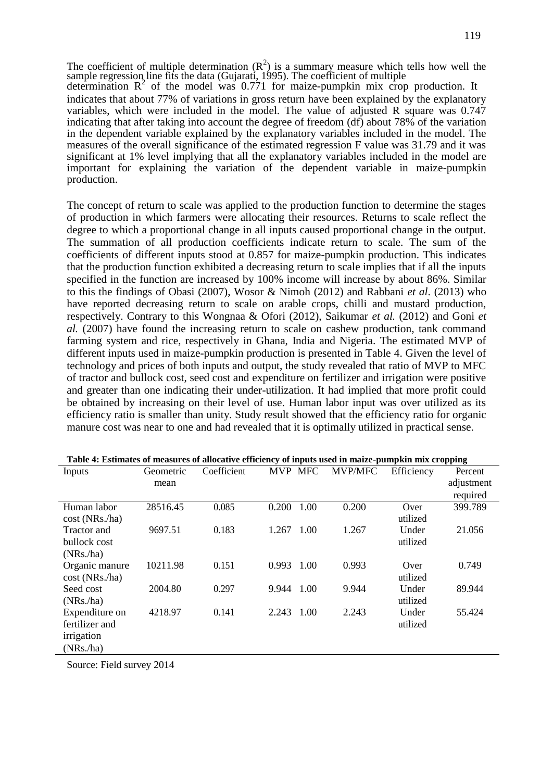The coefficient of multiple determination  $(R^2)$  is a summary measure which tells how well the sample regression line fits the data (Gujarati, 1995). The coefficient of multiple determination  $R^2$  of the model was 0.771 for maize-pumpkin mix crop production. It indicates that about 77% of variations in gross return have been explained by the explanatory variables, which were included in the model. The value of adjusted R square was 0.747 indicating that after taking into account the degree of freedom (df) about 78% of the variation in the dependent variable explained by the explanatory variables included in the model. The measures of the overall significance of the estimated regression F value was 31.79 and it was significant at 1% level implying that all the explanatory variables included in the model are important for explaining the variation of the dependent variable in maize-pumpkin

The concept of return to scale was applied to the production function to determine the stages of production in which farmers were allocating their resources. Returns to scale reflect the degree to which a proportional change in all inputs caused proportional change in the output. The summation of all production coefficients indicate return to scale. The sum of the coefficients of different inputs stood at 0.857 for maize-pumpkin production. This indicates that the production function exhibited a decreasing return to scale implies that if all the inputs specified in the function are increased by 100% income will increase by about 86%. Similar to this the findings of Obasi (2007), Wosor & Nimoh (2012) and Rabbani *et al*. (2013) who have reported decreasing return to scale on arable crops, chilli and mustard production, respectively. Contrary to this Wongnaa & Ofori (2012), Saikumar *et al.* (2012) and Goni *et al.* (2007) have found the increasing return to scale on cashew production, tank command farming system and rice, respectively in Ghana, India and Nigeria. The estimated MVP of different inputs used in maize-pumpkin production is presented in Table 4. Given the level of technology and prices of both inputs and output, the study revealed that ratio of MVP to MFC of tractor and bullock cost, seed cost and expenditure on fertilizer and irrigation were positive and greater than one indicating their under-utilization. It had implied that more profit could be obtained by increasing on their level of use. Human labor input was over utilized as its efficiency ratio is smaller than unity. Study result showed that the efficiency ratio for organic manure cost was near to one and had revealed that it is optimally utilized in practical sense.

| Inputs         | Geometric | Coefficient | <b>MVP</b> | <b>MFC</b> | MVP/MFC | Efficiency | Percent    |
|----------------|-----------|-------------|------------|------------|---------|------------|------------|
|                | mean      |             |            |            |         |            | adjustment |
|                |           |             |            |            |         |            | required   |
| Human labor    | 28516.45  | 0.085       | 0.200      | 1.00       | 0.200   | Over       | 399.789    |
| cost(NRs.ha)   |           |             |            |            |         | utilized   |            |
| Tractor and    | 9697.51   | 0.183       | 1.267      | 1.00       | 1.267   | Under      | 21.056     |
| bullock cost   |           |             |            |            |         | utilized   |            |
| (NRs./ha)      |           |             |            |            |         |            |            |
| Organic manure | 10211.98  | 0.151       | 0.993      | 1.00       | 0.993   | Over       | 0.749      |
| cost(NRs.ha)   |           |             |            |            |         | utilized   |            |
| Seed cost      | 2004.80   | 0.297       | 9.944      | 1.00       | 9.944   | Under      | 89.944     |
| (NRs./ha)      |           |             |            |            |         | utilized   |            |
| Expenditure on | 4218.97   | 0.141       | 2.243      | 1.00       | 2.243   | Under      | 55.424     |
| fertilizer and |           |             |            |            |         | utilized   |            |
| irrigation     |           |             |            |            |         |            |            |
| (NRs./ha)      |           |             |            |            |         |            |            |

| Table 4: Estimates of measures of allocative efficiency of inputs used in maize-pumpkin mix cropping |  |  |  |
|------------------------------------------------------------------------------------------------------|--|--|--|
|                                                                                                      |  |  |  |
|                                                                                                      |  |  |  |
|                                                                                                      |  |  |  |

Source: Field survey 2014

production.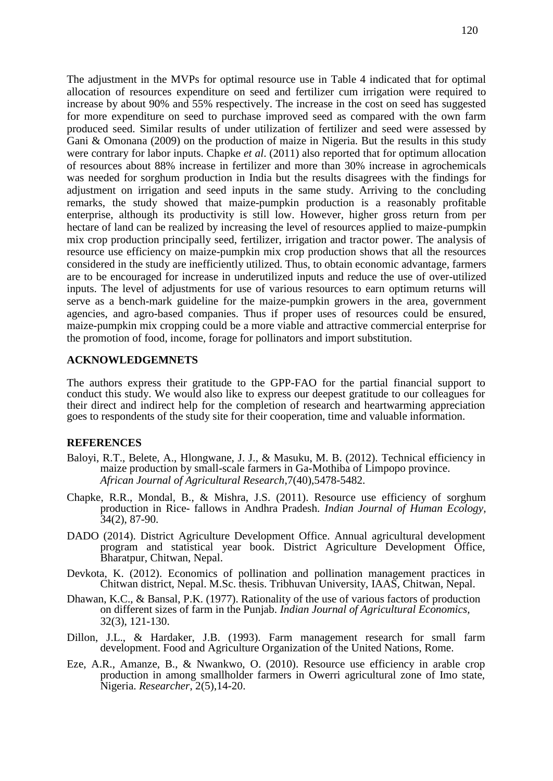The adjustment in the MVPs for optimal resource use in Table 4 indicated that for optimal allocation of resources expenditure on seed and fertilizer cum irrigation were required to increase by about 90% and 55% respectively. The increase in the cost on seed has suggested for more expenditure on seed to purchase improved seed as compared with the own farm produced seed. Similar results of under utilization of fertilizer and seed were assessed by Gani & Omonana (2009) on the production of maize in Nigeria. But the results in this study were contrary for labor inputs. Chapke *et al*. (2011) also reported that for optimum allocation of resources about 88% increase in fertilizer and more than 30% increase in agrochemicals was needed for sorghum production in India but the results disagrees with the findings for adjustment on irrigation and seed inputs in the same study. Arriving to the concluding remarks, the study showed that maize-pumpkin production is a reasonably profitable enterprise, although its productivity is still low. However, higher gross return from per hectare of land can be realized by increasing the level of resources applied to maize-pumpkin mix crop production principally seed, fertilizer, irrigation and tractor power. The analysis of resource use efficiency on maize-pumpkin mix crop production shows that all the resources considered in the study are inefficiently utilized. Thus, to obtain economic advantage, farmers are to be encouraged for increase in underutilized inputs and reduce the use of over-utilized inputs. The level of adjustments for use of various resources to earn optimum returns will serve as a bench-mark guideline for the maize-pumpkin growers in the area, government agencies, and agro-based companies. Thus if proper uses of resources could be ensured, maize-pumpkin mix cropping could be a more viable and attractive commercial enterprise for the promotion of food, income, forage for pollinators and import substitution.

## **ACKNOWLEDGEMNETS**

The authors express their gratitude to the GPP-FAO for the partial financial support to conduct this study. We would also like to express our deepest gratitude to our colleagues for their direct and indirect help for the completion of research and heartwarming appreciation goes to respondents of the study site for their cooperation, time and valuable information.

#### **REFERENCES**

- Baloyi, R.T., Belete, A., Hlongwane, J. J., & Masuku, M. B. (2012). Technical efficiency in maize production by small-scale farmers in Ga-Mothiba of Limpopo province. *African Journal of Agricultural Research*,7(40),5478-5482.
- Chapke, R.R., Mondal, B., & Mishra, J.S. (2011). Resource use efficiency of sorghum production in Rice- fallows in Andhra Pradesh. *Indian Journal of Human Ecology,* 34(2), 87-90.
- DADO (2014). District Agriculture Development Office. Annual agricultural development program and statistical year book. District Agriculture Development Office, Bharatpur, Chitwan, Nepal.
- Devkota, K. (2012). Economics of pollination and pollination management practices in Chitwan district, Nepal. M.Sc. thesis. Tribhuvan University, IAAS, Chitwan, Nepal.
- Dhawan, K.C., & Bansal, P.K. (1977). Rationality of the use of various factors of production on different sizes of farm in the Punjab. *Indian Journal of Agricultural Economics,* 32(3), 121-130.
- Dillon, J.L., & Hardaker, J.B. (1993). Farm management research for small farm development. Food and Agriculture Organization of the United Nations, Rome.
- Eze, A.R., Amanze, B., & Nwankwo, O. (2010). Resource use efficiency in arable crop production in among smallholder farmers in Owerri agricultural zone of Imo state, Nigeria. *Researcher*, 2(5),14-20.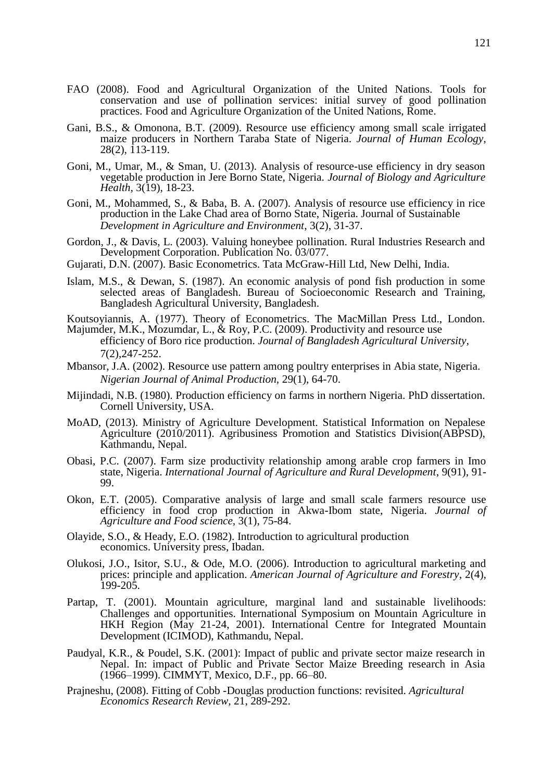- FAO (2008). Food and Agricultural Organization of the United Nations. Tools for conservation and use of pollination services: initial survey of good pollination practices. Food and Agriculture Organization of the United Nations, Rome.
- Gani, B.S., & Omonona, B.T. (2009). Resource use efficiency among small scale irrigated maize producers in Northern Taraba State of Nigeria. *Journal of Human Ecology,*  $28(2)$ , 113-119.
- Goni, M., Umar, M., & Sman, U. (2013). Analysis of resource-use efficiency in dry season vegetable production in Jere Borno State, Nigeria. *Journal of Biology and Agriculture Health*, 3(19), 18-23.
- Goni, M., Mohammed, S., & Baba, B. A. (2007). Analysis of resource use efficiency in rice production in the Lake Chad area of Borno State, Nigeria. Journal of Sustainable *Development in Agriculture and Environment*, 3(2), 31-37.
- Gordon, J., & Davis, L. (2003). Valuing honeybee pollination. Rural Industries Research and Development Corporation. Publication No. 03/077.
- Gujarati, D.N. (2007). Basic Econometrics. Tata McGraw-Hill Ltd, New Delhi, India.
- Islam, M.S., & Dewan, S. (1987). An economic analysis of pond fish production in some selected areas of Bangladesh. Bureau of Socioeconomic Research and Training, Bangladesh Agricultural University, Bangladesh.
- Koutsoyiannis, A. (1977). Theory of Econometrics. The MacMillan Press Ltd., London.
- Majumder, M.K., Mozumdar, L., & Roy, P.C. (2009). Productivity and resource use efficiency of Boro rice production. *Journal of Bangladesh Agricultural University,* 7(2),247-252.
- Mbansor, J.A. (2002). Resource use pattern among poultry enterprises in Abia state, Nigeria. *Nigerian Journal of Animal Production,* 29(1), 64-70.
- Mijindadi, N.B. (1980). Production efficiency on farms in northern Nigeria. PhD dissertation. Cornell University, USA.
- MoAD, (2013). Ministry of Agriculture Development. Statistical Information on Nepalese Agriculture (2010/2011). Agribusiness Promotion and Statistics Division(ABPSD), Kathmandu, Nepal.
- Obasi, P.C. (2007). Farm size productivity relationship among arable crop farmers in Imo state, Nigeria. *International Journal of Agriculture and Rural Development*, 9(91), 91- 99.
- Okon, E.T. (2005). Comparative analysis of large and small scale farmers resource use efficiency in food crop production in Akwa-Ibom state, Nigeria. *Journal of Agriculture and Food science,* 3(1), 75-84.
- Olayide, S.O., & Heady, E.O. (1982). Introduction to agricultural production economics. University press, Ibadan.
- Olukosi, J.O., Isitor, S.U., & Ode, M.O. (2006). Introduction to agricultural marketing and prices: principle and application. *American Journal of Agriculture and Forestry*, 2(4), 199-205.
- Partap, T. (2001). Mountain agriculture, marginal land and sustainable livelihoods: Challenges and opportunities. International Symposium on Mountain Agriculture in HKH Region (May 21-24, 2001). International Centre for Integrated Mountain Development (ICIMOD), Kathmandu, Nepal.
- Paudyal, K.R., & Poudel, S.K. (2001): Impact of public and private sector maize research in Nepal. In: impact of Public and Private Sector Maize Breeding research in Asia (1966–1999). CIMMYT, Mexico, D.F., pp. 66–80.
- Prajneshu, (2008). Fitting of Cobb -Douglas production functions: revisited. *Agricultural Economics Research Review*, 21, 289-292.